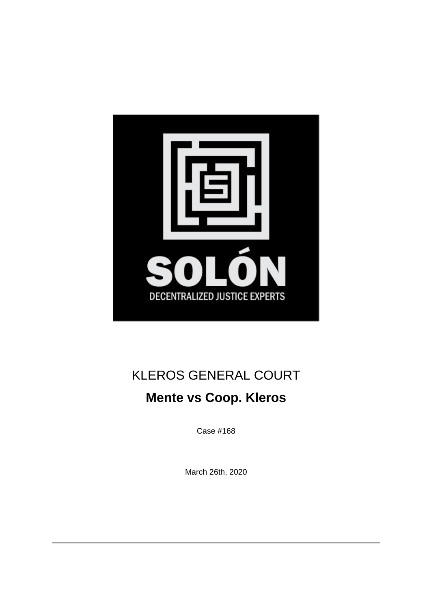

# KLEROS GENERAL COURT

## **Mente vs Coop. Kleros**

Case #168

March 26th, 2020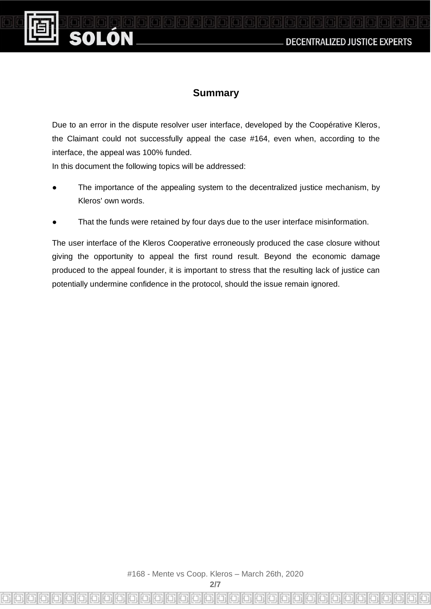**DECENTRALIZED JUSTICE EXPERTS** 

#### **Summary**

**For Light Ford** 

Due to an error in the dispute resolver user interface, developed by the Coopérative Kleros, the Claimant could not successfully appeal the case #164, even when, according to the interface, the appeal was 100% funded.

In this document the following topics will be addressed:

SOI ON

- The importance of the appealing system to the decentralized justice mechanism, by Kleros' own words.
- That the funds were retained by four days due to the user interface misinformation.

The user interface of the Kleros Cooperative erroneously produced the case closure without giving the opportunity to appeal the first round result. Beyond the economic damage produced to the appeal founder, it is important to stress that the resulting lack of justice can potentially undermine confidence in the protocol, should the issue remain ignored.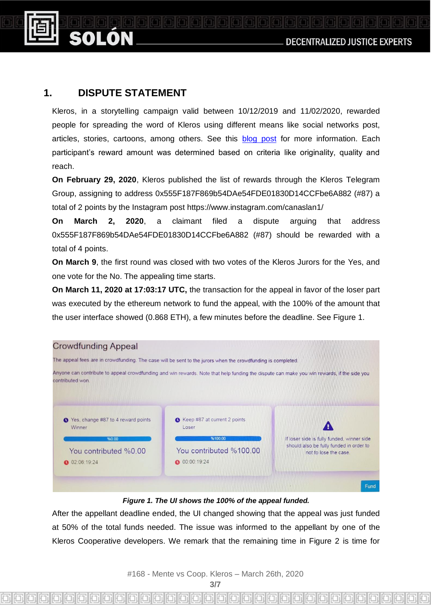#### **1. DISPUTE STATEMENT**

ON

Kleros, in a storytelling campaign valid between 10/12/2019 and 11/02/2020, rewarded people for spreading the word of Kleros using different means like social networks post, articles, stories, cartoons, among others. See this [blog post](https://blog.kleros.io/kleros-storytelling-reward-program/) for more information. Each participant's reward amount was determined based on criteria like originality, quality and reach.

**On February 29, 2020**, Kleros published the list of rewards through the Kleros Telegram Group, assigning to address 0x555F187F869b54DAe54FDE01830D14CCFbe6A882 (#87) a total of 2 points by the Instagram pos[t](https://www.instagram.com/canaslan1/) <https://www.instagram.com/canaslan1/>

**On March 2, 2020**, a claimant filed a dispute arguing that address 0x555F187F869b54DAe54FDE01830D14CCFbe6A882 (#87) should be rewarded with a total of 4 points.

**On March 9**, the first round was closed with two votes of the Kleros Jurors for the Yes, and one vote for the No. The appealing time starts.

**On March 11, 2020 at 17:03:17 UTC,** the transaction for the appeal in favor of the loser part was executed by the ethereum network to fund the appeal, with the 100% of the amount that the user interface showed (0.868 ETH), a few minutes before the deadline. See Figure 1.



#### *Figure 1. The UI shows the 100% of the appeal funded.*

After the appellant deadline ended, the UI changed showing that the appeal was just funded at 50% of the total funds needed. The issue was informed to the appellant by one of the Kleros Cooperative developers. We remark that the remaining time in Figure 2 is time for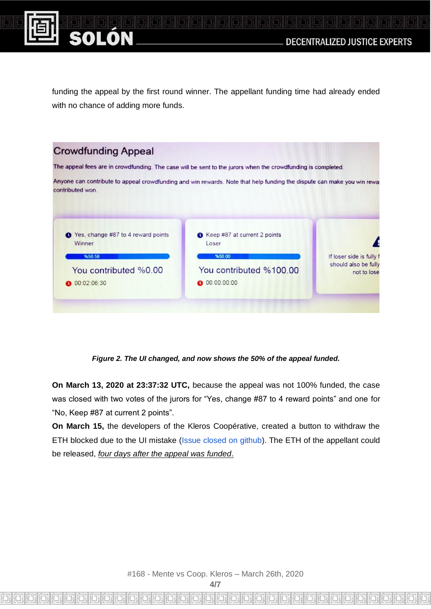

ON

funding the appeal by the first round winner. The appellant funding time had already ended with no chance of adding more funds.

| <b>Crowdfunding Appeal</b>                                                                                                                  |                                                 |                                                                 |
|---------------------------------------------------------------------------------------------------------------------------------------------|-------------------------------------------------|-----------------------------------------------------------------|
| The appeal fees are in crowdfunding. The case will be sent to the jurors when the crowdfunding is completed.                                |                                                 |                                                                 |
| Anyone can contribute to appeal crowdfunding and win rewards. Note that help funding the dispute can make you win rewal<br>contributed won. |                                                 |                                                                 |
| Yes, change #87 to 4 reward points<br>Winner<br>%50.58                                                                                      | Keep #87 at current 2 points<br>Loser<br>%50.00 | If loser side is fully f<br>should also be fully<br>not to lose |
| You contributed %0.00<br>0 00:02:06:30                                                                                                      | You contributed %100.00<br>00:00:00:00          |                                                                 |
|                                                                                                                                             |                                                 |                                                                 |

*Figure 2. The UI changed, and now shows the 50% of the appeal funded.*

**On March 13, 2020 at 23:37:32 UTC,** because the appeal was not 100% funded, the case was closed with two votes of the jurors for "Yes, change #87 to 4 reward points" and one for "No, Keep #87 at current 2 points".

**On March 15,** the developers of the Kleros Coopérative, created a button to withdraw the ETH blocked due to the UI mistake [\(Issue closed on github\)](https://github.com/kleros/dispute-resolver/issues/23). The ETH of the appellant could be released, *four days after the appeal was funded*.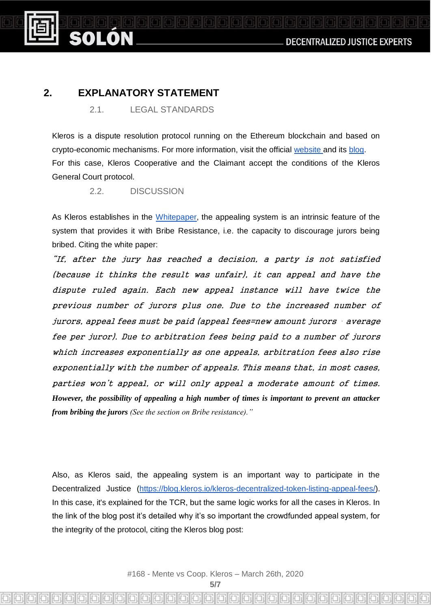### **2. EXPLANATORY STATEMENT**

ON

2.1. LEGAL STANDARDS

Kleros is a dispute resolution protocol running on the Ethereum blockchain and based on crypto-economic mechanisms. For more information, visit the official [website a](http://kleros.io/)nd its [blog.](https://blog.kleros.io/) For this case, Kleros Cooperative and the Claimant accept the conditions of the Kleros General Court protocol.

2.2. DISCUSSION

As Kleros establishes in the [Whitepaper,](https://kleros.io/whitepaper_en.pdf) the appealing system is an intrinsic feature of the system that provides it with Bribe Resistance, i.e. the capacity to discourage jurors being bribed. Citing the white paper:

"If, after the jury has reached a decision, a party is not satisfied (because it thinks the result was unfair), it can appeal and have the dispute ruled again. Each new appeal instance will have twice the previous number of jurors plus one. Due to the increased number of jurors, appeal fees must be paid (appeal fees=new amount jurors ⋅ average fee per juror). Due to arbitration fees being paid to a number of jurors which increases exponentially as one appeals, arbitration fees also rise exponentially with the number of appeals. This means that, in most cases, parties won't appeal, or will only appeal a moderate amount of times. *However, the possibility of appealing a high number of times is important to prevent an attacker from bribing the jurors (See the section on Bribe resistance)."*

Also, as Kleros said, the appealing system is an important way to participate in the Decentralized Justice [\(https://blog.kleros.io/kleros-decentralized-token-listing-appeal-fees/\)](https://blog.kleros.io/kleros-decentralized-token-listing-appeal-fees/). In this case, it's explained for the TCR, but the same logic works for all the cases in Kleros. In the link of the blog post it's detailed why it's so important the crowdfunded appeal system, for the integrity of the protocol, citing the Kleros blog post: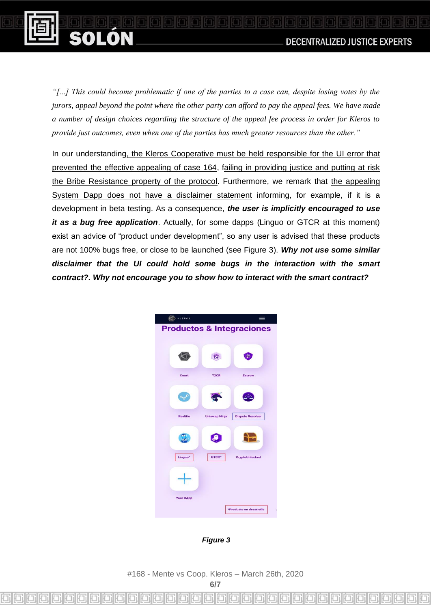

*"[...] This could become problematic if one of the parties to a case can, despite losing votes by the jurors, appeal beyond the point where the other party can afford to pay the appeal fees. We have made a number of design choices regarding the structure of the appeal fee process in order for Kleros to provide just outcomes, even when one of the parties has much greater resources than the other."*

SOLON

In our understanding, the Kleros Cooperative must be held responsible for the UI error that prevented the effective appealing of case 164, failing in providing justice and putting at risk the Bribe Resistance property of the protocol. Furthermore, we remark that the appealing System Dapp does not have a disclaimer statement informing, for example, if it is a development in beta testing. As a consequence, *the user is implicitly encouraged to use it as a bug free application*. Actually, for some dapps (Linguo or GTCR at this moment) exist an advice of "product under development", so any user is advised that these products are not 100% bugs free, or close to be launched (see Figure 3). *Why not use some similar disclaimer that the UI could hold some bugs in the interaction with the smart contract?. Why not encourage you to show how to interact with the smart contract?*



*Figure 3*